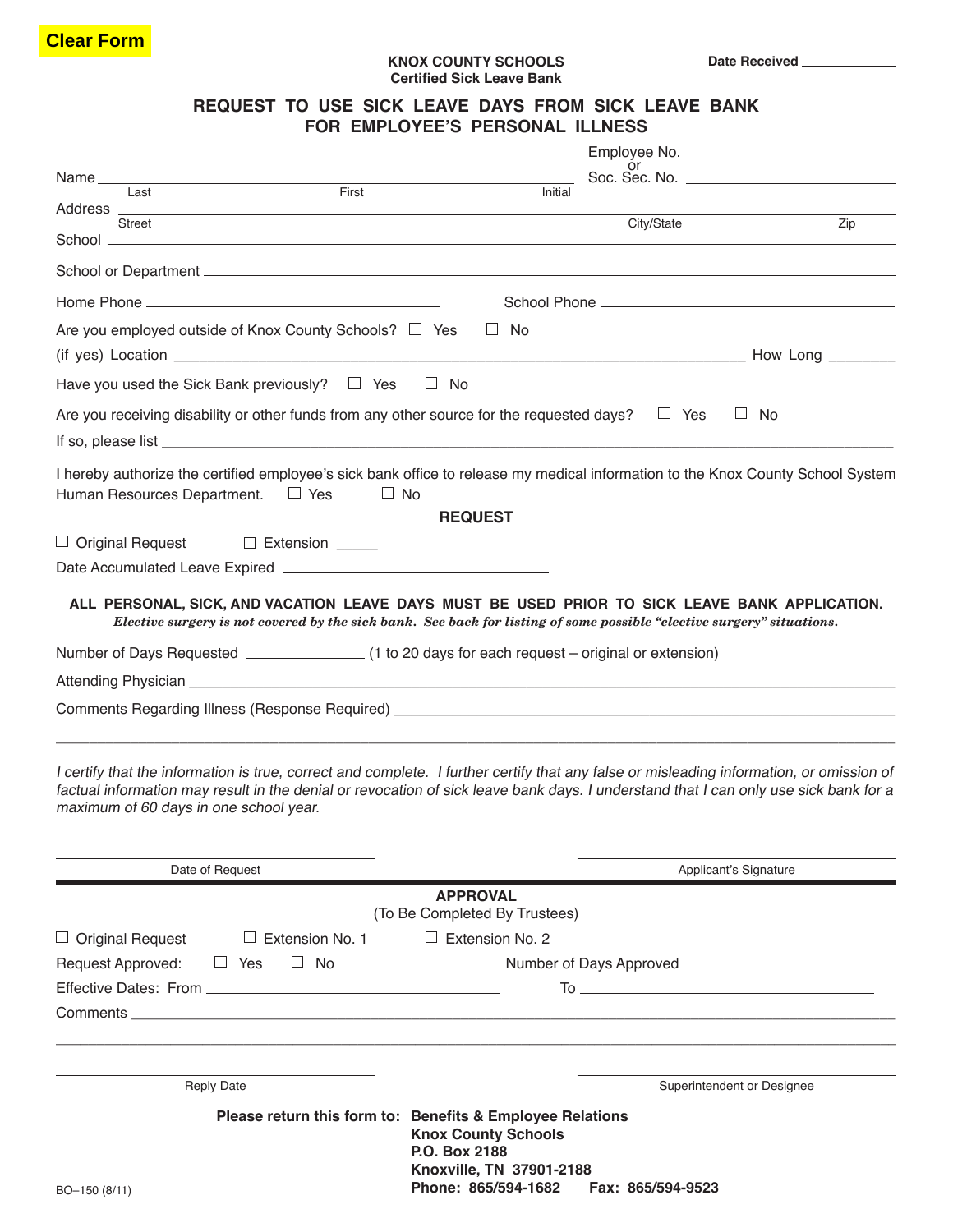## **KNOX COUNTY SCHOOLS Certified Sick Leave Bank**

**Date Received** 

## **REQUEST TO USE SICK LEAVE DAYS FROM SICK LEAVE BANK FOR EMPLOYEE'S PERSONAL ILLNESS**

|                                                                                                                                                                                                                                |         | Employee No. |     |
|--------------------------------------------------------------------------------------------------------------------------------------------------------------------------------------------------------------------------------|---------|--------------|-----|
| Name<br>First<br>Last                                                                                                                                                                                                          | Initial |              |     |
|                                                                                                                                                                                                                                |         |              |     |
| Street                                                                                                                                                                                                                         |         | City/State   | Zip |
|                                                                                                                                                                                                                                |         |              |     |
|                                                                                                                                                                                                                                |         |              |     |
| Are you employed outside of Knox County Schools? $\Box$ Yes<br>$\Box$ No                                                                                                                                                       |         |              |     |
|                                                                                                                                                                                                                                |         |              |     |
| Have you used the Sick Bank previously? $\Box$ Yes<br>$\Box$ No                                                                                                                                                                |         |              |     |
| Are you receiving disability or other funds from any other source for the requested days? $\square$ Yes                                                                                                                        |         | $\Box$       | No  |
| If so, please list that the state of the state of the state of the state of the state of the state of the state of the state of the state of the state of the state of the state of the state of the state of the state of the |         |              |     |
| I hereby authorize the certified employee's sick bank office to release my medical information to the Knox County School System<br>Human Resources Department. □ Yes<br>$\Box$ No                                              |         |              |     |
| <b>REQUEST</b>                                                                                                                                                                                                                 |         |              |     |
| $\Box$ Original Request $\Box$ Extension _____                                                                                                                                                                                 |         |              |     |
|                                                                                                                                                                                                                                |         |              |     |
| ALL PERSONAL, SICK, AND VACATION LEAVE DAYS MUST BE USED PRIOR TO SICK LEAVE BANK APPLICATION.<br>Elective surgery is not covered by the sick bank. See back for listing of some possible "elective surgery" situations.       |         |              |     |
| Number of Days Requested ________________(1 to 20 days for each request - original or extension)                                                                                                                               |         |              |     |
|                                                                                                                                                                                                                                |         |              |     |
| Comments Regarding Illness (Response Required) __________________________________                                                                                                                                              |         |              |     |
|                                                                                                                                                                                                                                |         |              |     |

I certify that the information is true, correct and complete. I further certify that any false or misleading information, or omission of factual information may result in the denial or revocation of sick leave bank days. I understand that I can only use sick bank for a maximum of 60 days in one school year.

| Date of Request                        | Applicant's Signature                                                                                                                |  |
|----------------------------------------|--------------------------------------------------------------------------------------------------------------------------------------|--|
|                                        | <b>APPROVAL</b><br>(To Be Completed By Trustees)                                                                                     |  |
| $\Box$ Original Request $\Box$         | Extension No. 1 $\Box$ Extension No. 2                                                                                               |  |
| Request Approved: $\Box$ Yes $\Box$ No | Number of Days Approved ________________                                                                                             |  |
|                                        |                                                                                                                                      |  |
|                                        |                                                                                                                                      |  |
|                                        |                                                                                                                                      |  |
|                                        |                                                                                                                                      |  |
| <b>Reply Date</b>                      | Superintendent or Designee                                                                                                           |  |
|                                        | Please return this form to: Benefits & Employee Relations<br><b>Knox County Schools</b><br>P.O. Box 2188<br>Knoxville, TN 37901-2188 |  |
| BO-150 (8/11)                          | Phone: 865/594-1682    Fax: 865/594-9523                                                                                             |  |